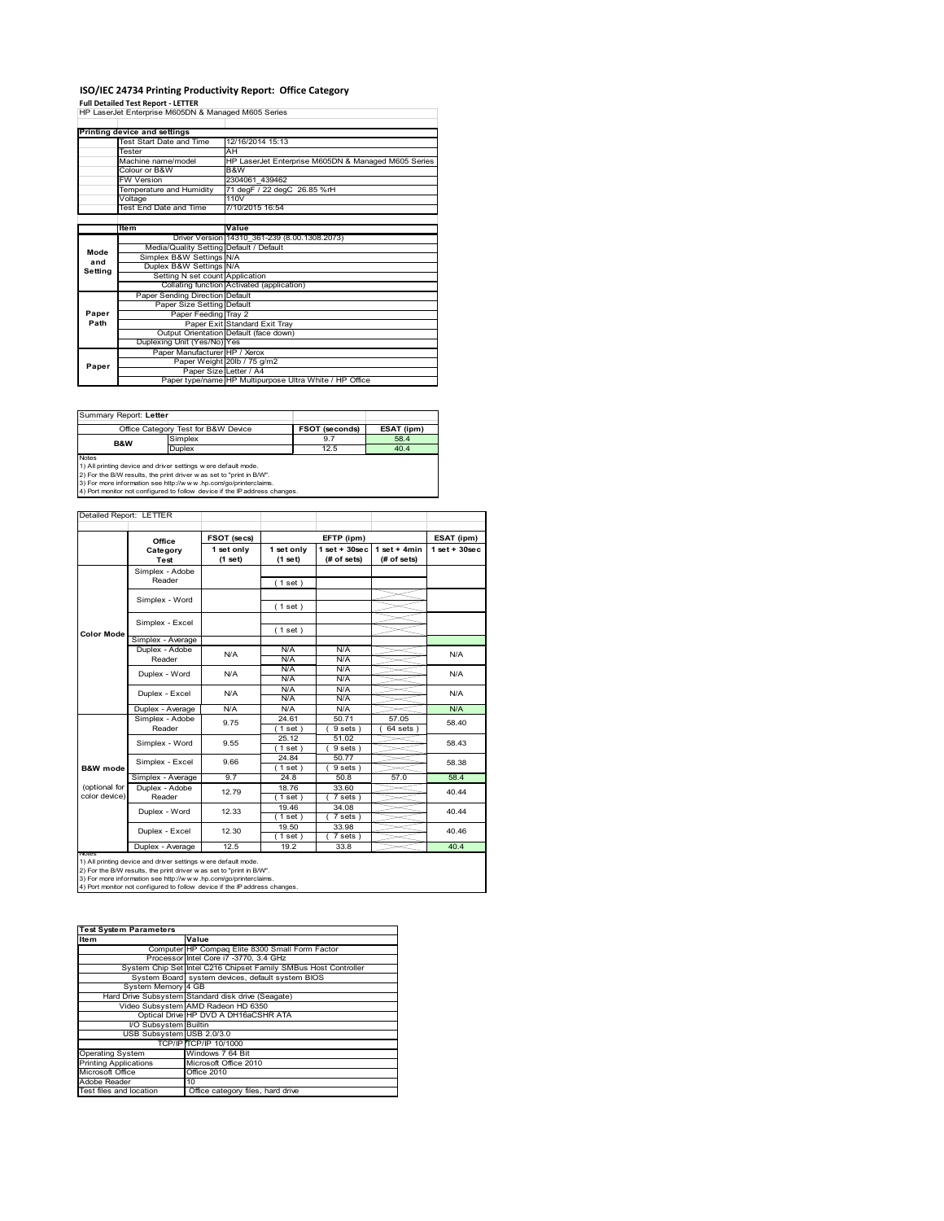### **ISO/IEC 24734 Printing Productivity Report: Office Category**

**Full Detailed Test Report ‐ LETTER** HP LaserJet Enterprise M605DN & Managed M605 Series

|         | Printing device and settings            |                                                         |
|---------|-----------------------------------------|---------------------------------------------------------|
|         | Test Start Date and Time                | 12/16/2014 15:13                                        |
|         | Tester                                  | AH                                                      |
|         | Machine name/model                      | HP LaserJet Enterprise M605DN & Managed M605 Series     |
|         | Colour or B&W                           | B&W                                                     |
|         | <b>FW Version</b>                       | 2304061 439462                                          |
|         | Temperature and Humidity                | 71 degF / 22 degC 26.85 %rH                             |
|         | Voltage                                 | 110V                                                    |
|         | Test End Date and Time                  | 7/10/2015 16:54                                         |
|         |                                         |                                                         |
|         | <b>Item</b>                             | Value                                                   |
|         |                                         | Driver Version 14310 361-239 (8.00.1308.2073)           |
| Mode    | Media/Quality Setting Default / Default |                                                         |
| and     | Simplex B&W Settings N/A                |                                                         |
| Setting | Duplex B&W Settings N/A                 |                                                         |
|         | Setting N set count Application         |                                                         |
|         |                                         | Collating function Activated (application)              |
|         | Paper Sending Direction Default         |                                                         |
|         | Paper Size Setting Default              |                                                         |
| Paper   | Paper Feeding Tray 2                    |                                                         |
| Path    |                                         | Paper Exit Standard Exit Tray                           |
|         |                                         | Output Orientation Default (face down)                  |
|         | Duplexing Unit (Yes/No) Yes             |                                                         |
|         | Paper Manufacturer HP / Xerox           |                                                         |
| Paper   |                                         | Paper Weight 20lb / 75 g/m2                             |
|         | Paper Size Letter / A4                  |                                                         |
|         |                                         | Paper type/name HP Multipurpose Ultra White / HP Office |
|         |                                         |                                                         |

| Summary Report: Letter |                                                                |                       |            |
|------------------------|----------------------------------------------------------------|-----------------------|------------|
|                        | Office Category Test for B&W Device                            | <b>FSOT (seconds)</b> | ESAT (ipm) |
| B&W                    | Simplex                                                        | 9.7                   | 58.4       |
|                        | Duplex                                                         | 12.5                  | 40.4       |
| <b>Notes</b>           |                                                                |                       |            |
|                        | 1) All printing device and driver settings w ere default mode. |                       |            |

1) All printing device and driver settings were default mode.<br>2) For the B/W results, the print driver was set to "print in B/W".<br>3) For more information see http://www.hp.com/go/printerclaims.<br>4) Port monitor not configur

| Detailed Report: LETTER        |                           |                       |                       |                                  |                               |                   |
|--------------------------------|---------------------------|-----------------------|-----------------------|----------------------------------|-------------------------------|-------------------|
|                                |                           |                       |                       |                                  |                               |                   |
|                                | Office                    | FSOT (secs)           |                       | EFTP (ipm)                       |                               | ESAT (ipm)        |
|                                | Category<br>Test          | 1 set only<br>(1 set) | 1 set only<br>(1 set) | $1$ set $+30$ sec<br>(# of sets) | $1$ set + 4min<br>(# of sets) | $1$ set $+30$ sec |
|                                | Simplex - Adobe<br>Reader |                       | (1 set)               |                                  |                               |                   |
|                                | Simplex - Word            |                       | (1 set)               |                                  |                               |                   |
|                                | Simplex - Excel           |                       | (1 set)               |                                  |                               |                   |
| <b>Color Mode</b>              | Simplex - Average         |                       |                       |                                  |                               |                   |
|                                | Duplex - Adobe<br>Reader  | N/A                   | N/A<br>N/A            | N/A<br>N/A                       |                               | N/A               |
|                                | Duplex - Word             | N/A<br>N/A            | N/A<br>N/A            | N/A<br>N/A                       |                               | N/A               |
|                                | Duplex - Excel            |                       | N/A<br>N/A            | N/A<br>N/A                       |                               | N/A               |
|                                | Duplex - Average          | N/A                   | N/A                   | N/A                              |                               | N/A               |
|                                | Simplex - Adobe<br>Reader | 9.75                  | 24.61<br>$1$ set)     | 50.71<br>9 sets)                 | 57.05<br>$64$ sets $)$        | 58.40             |
|                                | Simplex - Word            | 9.55                  | 25.12<br>(1 set)      | 51.02<br>9 sets)                 |                               | 58.43             |
| <b>B&amp;W</b> mode            | Simplex - Excel           | 9.66                  | 24.84<br>$1$ set)     | 50.77<br>9 sets)                 |                               | 58.38             |
|                                | Simplex - Average         | 9.7                   | 24.8                  | 50.8                             | 57.0                          | 58.4              |
| (optional for<br>color device) | Duplex - Adobe<br>Reader  | 12.79                 | 18.76<br>$1$ set)     | 33.60<br>7 sets)                 |                               | 40.44             |
|                                | Duplex - Word             | 12.33                 | 19.46<br>(1 set)      | 34.08<br>7 sets)                 |                               | 40.44             |
|                                | Duplex - Excel            | 12.30                 | 19.50<br>$1$ set)     | 33.98<br>7 sets)                 |                               | 40.46             |
|                                | Duplex - Average          | 12.5                  | 19.2                  | 33.8                             |                               | 40.4              |

nations)<br>1) All printing device and driver settings were default mode.<br>2) For the B/W results, the print driver was set to "print in B/W".<br>3) For more information see http://www.hp.com/go/printerclaims.<br>4) Por monitor not

| <b>Test System Parameters</b> |                                                                 |  |  |  |
|-------------------------------|-----------------------------------------------------------------|--|--|--|
| <b>Item</b>                   | Value                                                           |  |  |  |
|                               | Computer HP Compaq Elite 8300 Small Form Factor                 |  |  |  |
|                               | Processor Intel Core i7 -3770, 3.4 GHz                          |  |  |  |
|                               | System Chip Set Intel C216 Chipset Family SMBus Host Controller |  |  |  |
|                               | System Board system devices, default system BIOS                |  |  |  |
| System Memory 4 GB            |                                                                 |  |  |  |
|                               | Hard Drive Subsystem Standard disk drive (Seagate)              |  |  |  |
|                               | Video Subsystem AMD Radeon HD 6350                              |  |  |  |
|                               | Optical Drive HP DVD A DH16aCSHR ATA                            |  |  |  |
| I/O Subsystem Builtin         |                                                                 |  |  |  |
| USB Subsystem USB 2.0/3.0     |                                                                 |  |  |  |
|                               | TCP/IPITCP/IP 10/1000                                           |  |  |  |
| <b>Operating System</b>       | Windows 7 64 Bit                                                |  |  |  |
| <b>Printing Applications</b>  | Microsoft Office 2010                                           |  |  |  |
| Microsoft Office              | <b>Office 2010</b>                                              |  |  |  |
| Adobe Reader                  | 10                                                              |  |  |  |
| Test files and location       | Office category files, hard drive                               |  |  |  |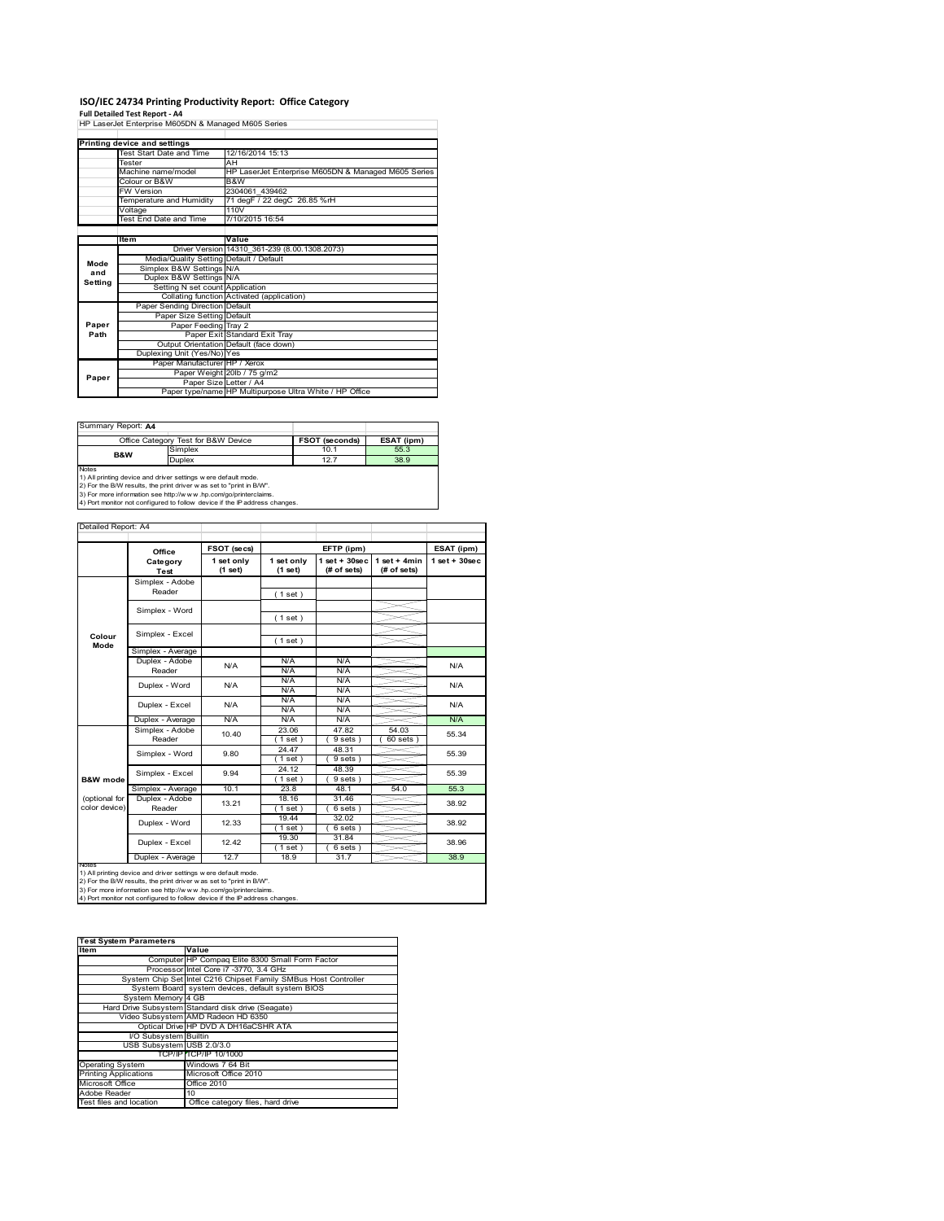# **ISO/IEC 24734 Printing Productivity Report: Office Category Full Detailed Test Report ‐ A4** HP LaserJet Enterprise M605DN & Managed M605 Series

|         | Printing device and settings            |                                                         |
|---------|-----------------------------------------|---------------------------------------------------------|
|         | Test Start Date and Time                | 12/16/2014 15:13                                        |
|         | Tester                                  | AH                                                      |
|         | Machine name/model                      | HP LaserJet Enterprise M605DN & Managed M605 Series     |
|         | Colour or B&W                           | B&W                                                     |
|         | <b>FW Version</b>                       | 2304061 439462                                          |
|         | Temperature and Humidity                | 71 degF / 22 degC 26.85 %rH                             |
|         | Voltage                                 | 110V                                                    |
|         | Test End Date and Time                  | 7/10/2015 16:54                                         |
|         |                                         |                                                         |
|         | <b>Item</b>                             | Value                                                   |
|         |                                         | Driver Version 14310 361-239 (8.00.1308.2073)           |
| Mode    | Media/Quality Setting Default / Default |                                                         |
| and     | Simplex B&W Settings N/A                |                                                         |
| Setting | Duplex B&W Settings N/A                 |                                                         |
|         | Setting N set count Application         |                                                         |
|         |                                         | Collating function Activated (application)              |
|         | Paper Sending Direction Default         |                                                         |
|         | Paper Size Setting Default              |                                                         |
| Paper   | Paper Feeding Tray 2                    |                                                         |
| Path    |                                         | Paper Exit Standard Exit Tray                           |
|         |                                         | Output Orientation Default (face down)                  |
|         | Duplexing Unit (Yes/No) Yes             |                                                         |
|         | Paper Manufacturer HP / Xerox           |                                                         |
| Paper   |                                         | Paper Weight 20lb / 75 g/m2                             |
|         | Paper Size Letter / A4                  |                                                         |
|         |                                         | Paper type/name HP Multipurpose Ultra White / HP Office |

| Summary Report: A4 |                                                               |                |            |
|--------------------|---------------------------------------------------------------|----------------|------------|
|                    | Office Category Test for B&W Device                           | FSOT (seconds) | ESAT (ipm) |
| B&W                | Simplex                                                       | 10.1           | 55.3       |
|                    | Duplex                                                        | 12.7           | 38.9       |
| <b>Notes</b>       | 1) All printing device and driver settings were default mode. |                |            |

1) All printing device and driver settings were default mode.<br>2) For the B/W results, the print driver was set to "print in B/W".<br>3) For more information see http://www.hp.com/go/printerclaims.<br>4) Port monitor not configur

|                     | Office            | FSOT (secs)           |                       | EFTP (ipm)                        |                                | ESAT (ipm)      |
|---------------------|-------------------|-----------------------|-----------------------|-----------------------------------|--------------------------------|-----------------|
|                     | Category<br>Test  | 1 set only<br>(1 set) | 1 set only<br>(1 set) | $1$ set + $30$ sec<br>(# of sets) | $1 set + 4 min$<br>(# of sets) | $1$ set + 30sec |
|                     | Simplex - Adobe   |                       |                       |                                   |                                |                 |
|                     | Reader            |                       | (1 set)               |                                   |                                |                 |
|                     |                   |                       |                       |                                   |                                |                 |
|                     | Simplex - Word    |                       | (1 set)               |                                   |                                |                 |
|                     | Simplex - Excel   |                       |                       |                                   |                                |                 |
| Colour<br>Mode      |                   |                       | (1 set)               |                                   |                                |                 |
|                     | Simplex - Average |                       |                       |                                   |                                |                 |
|                     | Duplex - Adobe    | N/A                   | N/A                   | N/A                               |                                | N/A             |
|                     | Reader            |                       | N/A                   | N/A                               |                                |                 |
|                     | Duplex - Word     | N/A                   | N/A                   | N/A                               |                                | N/A             |
|                     |                   |                       | N/A                   | N/A                               |                                |                 |
|                     | Duplex - Excel    | N/A                   | N/A                   | N/A                               |                                | N/A             |
|                     |                   |                       | N/A                   | N/A                               |                                |                 |
|                     | Duplex - Average  | N/A                   | N/A                   | N/A                               |                                | N/A             |
|                     | Simplex - Adobe   | 10.40                 | 23.06                 | 47.82                             | 54.03                          | 55.34           |
|                     | Reader            |                       | $1$ set)              | $9 sets$ )                        | 60 sets                        |                 |
|                     | Simplex - Word    | 9.80                  | 24.47                 | 48.31                             |                                | 55.39           |
|                     |                   |                       | (1 set)               | 9 sets 1                          |                                |                 |
|                     | Simplex - Excel   | 9.94                  | 24.12                 | 48.39                             |                                | 55.39           |
| <b>B&amp;W</b> mode |                   |                       | $1$ set)              | 9 sets)                           |                                |                 |
|                     | Simplex - Average | 10.1                  | 23.8                  | 48.1                              | 54.0                           | 55.3            |
| (optional for       | Duplex - Adobe    | 13.21                 | 18.16                 | 31.46                             |                                | 38.92           |
| color device)       | Reader            |                       | $1$ set)              | 6 sets)                           |                                |                 |
|                     | Duplex - Word     | 12.33                 | 19.44                 | 32.02                             |                                | 38.92           |
|                     |                   |                       | (1 set)               | 6 sets)                           |                                |                 |
|                     | Duplex - Excel    | 12.42                 | 19.30                 | 31.84<br>$6 sets$ )               |                                | 38.96           |
|                     | Duplex - Average  | 12.7                  | (1 set )<br>18.9      | 31.7                              |                                | 38.9            |
| <b>INGHAS</b>       |                   |                       |                       |                                   |                                |                 |

| <b>Test System Parameters</b> |                                                                 |  |  |  |
|-------------------------------|-----------------------------------------------------------------|--|--|--|
| <b>Item</b>                   | Value                                                           |  |  |  |
|                               | Computer HP Compaq Elite 8300 Small Form Factor                 |  |  |  |
|                               | Processor Intel Core i7 -3770, 3.4 GHz                          |  |  |  |
|                               | System Chip Set Intel C216 Chipset Family SMBus Host Controller |  |  |  |
|                               | System Board system devices, default system BIOS                |  |  |  |
| System Memory 4 GB            |                                                                 |  |  |  |
|                               | Hard Drive Subsystem Standard disk drive (Seagate)              |  |  |  |
|                               | Video Subsystem AMD Radeon HD 6350                              |  |  |  |
|                               | Optical Drive HP DVD A DH16aCSHR ATA                            |  |  |  |
| I/O Subsystem Builtin         |                                                                 |  |  |  |
| USB Subsystem USB 2.0/3.0     |                                                                 |  |  |  |
|                               | <b>TCP/IP TCP/IP 10/1000</b>                                    |  |  |  |
| <b>Operating System</b>       | Windows 7 64 Bit                                                |  |  |  |
| <b>Printing Applications</b>  | Microsoft Office 2010                                           |  |  |  |
| Microsoft Office              | <b>Office 2010</b>                                              |  |  |  |
| Adobe Reader                  | 10                                                              |  |  |  |
| Test files and location       | Office category files, hard drive                               |  |  |  |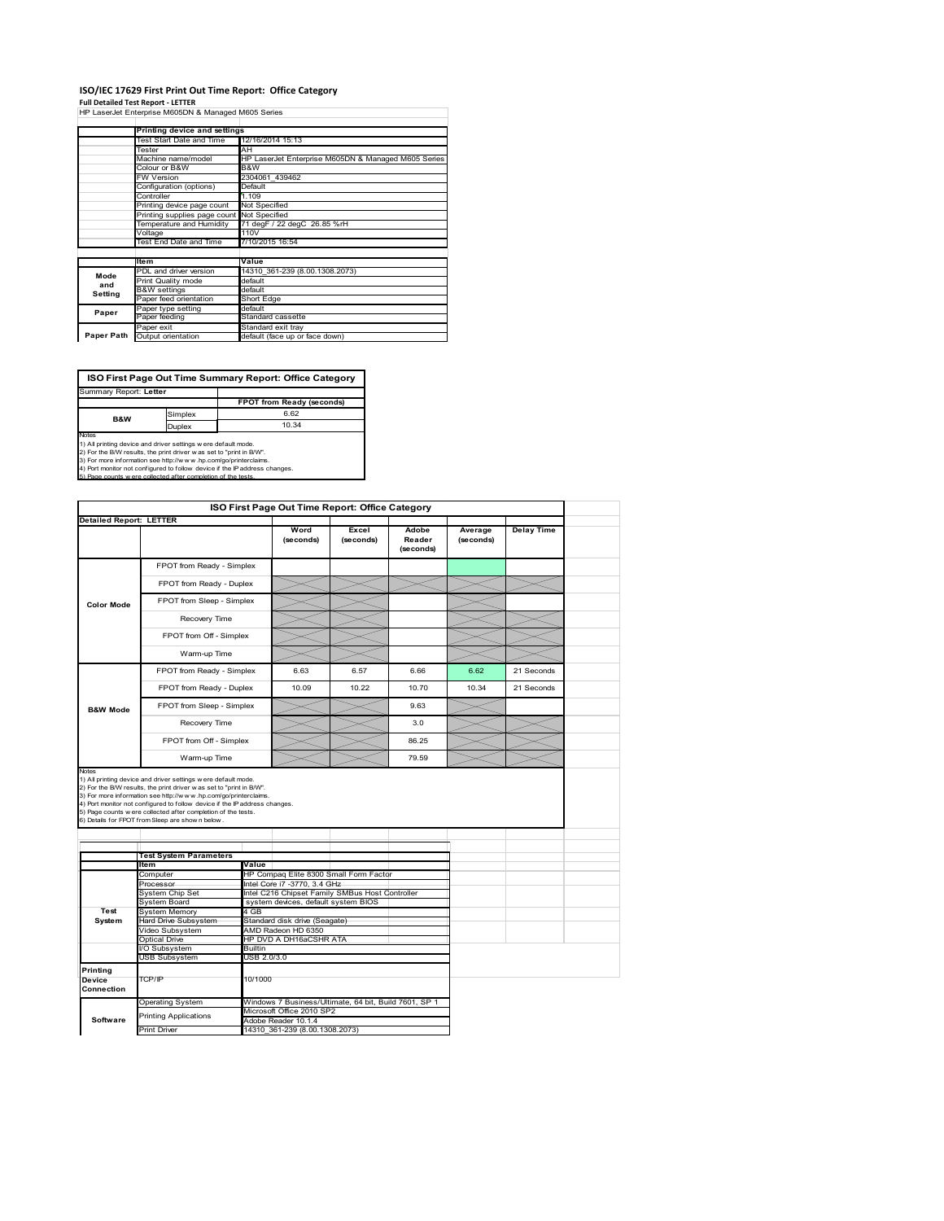## **ISO/IEC 17629 First Print Out Time Report: Office Category**

**Full Detailed Test Report ‐ LETTER** HP LaserJet Enterprise M605DN & Managed M605 Series

|            | Printing device and settings               |                                                     |
|------------|--------------------------------------------|-----------------------------------------------------|
|            | Test Start Date and Time                   | 12/16/2014 15:13                                    |
|            | Tester                                     | AН                                                  |
|            | Machine name/model                         | HP LaserJet Enterprise M605DN & Managed M605 Series |
|            | Colour or B&W                              | B&W                                                 |
|            | <b>FW Version</b>                          | 2304061 439462                                      |
|            | Configuration (options)                    | Default                                             |
|            | Controller                                 | 1.109                                               |
|            | Printing device page count                 | Not Specified                                       |
|            | Printing supplies page count Not Specified |                                                     |
|            | Temperature and Humidity                   | 71 degF / 22 degC 26.85 %rH                         |
|            | Voltage                                    | 110V                                                |
|            | <b>Test End Date and Time</b>              | 7/10/2015 16:54                                     |
|            |                                            |                                                     |
|            | <b>Item</b>                                | Value                                               |
| Mode       | PDL and driver version                     | 14310 361-239 (8.00.1308.2073)                      |
| and        | Print Quality mode                         | default                                             |
| Setting    | <b>B&amp;W</b> settings                    | default                                             |
|            | Paper feed orientation                     | Short Edge                                          |
| Paper      | Paper type setting                         | default                                             |
|            | Paper feeding                              | Standard cassette                                   |
|            | Paper exit                                 | Standard exit tray                                  |
| Paper Path | Output orientation                         | default (face up or face down)                      |

**FPOT from Ready (second)** Simplex 6.62<br>
Duplex 10.34 **ISO First Page Out Time Summary Report: Office Category** Summary Report: **Letter B&W**

Notes<br>1) All printing device and driver settings were default mode.<br>2) For the BAV results, the print driver was set to "print in BAV".<br>3) For more information see http://www.hp.com/go/printerclaims.<br>4) Fort monitor not co

| Detailed Report: LETTER                        |                                                                                                                                                                                                                                                                   | ISO First Page Out Time Report: Office Category |                                |                                                       |                              |                      |                   |
|------------------------------------------------|-------------------------------------------------------------------------------------------------------------------------------------------------------------------------------------------------------------------------------------------------------------------|-------------------------------------------------|--------------------------------|-------------------------------------------------------|------------------------------|----------------------|-------------------|
|                                                |                                                                                                                                                                                                                                                                   |                                                 |                                |                                                       |                              |                      |                   |
|                                                |                                                                                                                                                                                                                                                                   |                                                 | Word<br>(seconds)              | Excel<br>(seconds)                                    | Adobe<br>Reader<br>(seconds) | Average<br>(seconds) | <b>Delay Time</b> |
|                                                | FPOT from Ready - Simplex                                                                                                                                                                                                                                         |                                                 |                                |                                                       |                              |                      |                   |
|                                                | FPOT from Ready - Duplex                                                                                                                                                                                                                                          |                                                 |                                |                                                       |                              |                      |                   |
| <b>Color Mode</b>                              | FPOT from Sleep - Simplex                                                                                                                                                                                                                                         |                                                 |                                |                                                       |                              |                      |                   |
|                                                | Recovery Time                                                                                                                                                                                                                                                     |                                                 |                                |                                                       |                              |                      |                   |
|                                                | FPOT from Off - Simplex                                                                                                                                                                                                                                           |                                                 |                                |                                                       |                              |                      |                   |
|                                                | Warm-up Time                                                                                                                                                                                                                                                      |                                                 |                                |                                                       |                              |                      |                   |
|                                                | FPOT from Ready - Simplex                                                                                                                                                                                                                                         |                                                 | 6.63                           | 6.57                                                  | 6.66                         | 6.62                 | 21 Seconds        |
|                                                | FPOT from Ready - Duplex                                                                                                                                                                                                                                          |                                                 | 10.09                          | 10.22                                                 | 10.70                        | 10.34                | 21 Seconds        |
| <b>B&amp;W Mode</b>                            | FPOT from Sleep - Simplex                                                                                                                                                                                                                                         |                                                 |                                |                                                       | 9.63                         |                      |                   |
|                                                | Recovery Time                                                                                                                                                                                                                                                     |                                                 |                                |                                                       | 3.0                          |                      |                   |
|                                                | FPOT from Off - Simplex                                                                                                                                                                                                                                           |                                                 |                                |                                                       | 86.25                        |                      |                   |
|                                                | Warm-up Time                                                                                                                                                                                                                                                      |                                                 |                                |                                                       | 79.59                        |                      |                   |
|                                                | 2) For the B/W results, the print driver was set to "print in B/W".                                                                                                                                                                                               |                                                 |                                |                                                       |                              |                      |                   |
|                                                | 3) For more information see http://www.hp.com/go/printerclaims.<br>4) Port monitor not configured to follow device if the IP address changes.<br>5) Page counts were collected after completion of the tests.<br>6) Details for FPOT from Sleep are show n below. |                                                 |                                |                                                       |                              |                      |                   |
|                                                | <b>Test System Parameters</b>                                                                                                                                                                                                                                     |                                                 |                                |                                                       |                              |                      |                   |
|                                                | <b>Item</b>                                                                                                                                                                                                                                                       | Value                                           |                                |                                                       |                              |                      |                   |
|                                                | Computer                                                                                                                                                                                                                                                          |                                                 |                                | HP Compaq Elite 8300 Small Form Factor                |                              |                      |                   |
|                                                | Processor                                                                                                                                                                                                                                                         |                                                 | Intel Core i7 -3770, 3.4 GHz   |                                                       |                              |                      |                   |
|                                                | System Chip Set                                                                                                                                                                                                                                                   |                                                 |                                | Intel C216 Chipset Family SMBus Host Controller       |                              |                      |                   |
|                                                | System Board                                                                                                                                                                                                                                                      |                                                 |                                | system devices, default system BIOS                   |                              |                      |                   |
| Test                                           | System Memory                                                                                                                                                                                                                                                     | $\overline{4}$ GB                               |                                |                                                       |                              |                      |                   |
| System                                         | lard Drive Subsystem                                                                                                                                                                                                                                              |                                                 | Standard disk drive (Seagate)  |                                                       |                              |                      |                   |
|                                                | Video Subsystem                                                                                                                                                                                                                                                   | AMD Radeon HD 6350                              |                                |                                                       |                              |                      |                   |
|                                                | <b>Optical Drive</b>                                                                                                                                                                                                                                              |                                                 | HP DVD A DH16aCSHR ATA         |                                                       |                              |                      |                   |
|                                                | /O Subsystem                                                                                                                                                                                                                                                      | Builtin                                         |                                |                                                       |                              |                      |                   |
|                                                | <b>JSB Subsystem</b>                                                                                                                                                                                                                                              | USB 2.0/3.0                                     |                                |                                                       |                              |                      |                   |
| <b>Printing</b><br><b>Device</b><br>Connection | TCP/IP                                                                                                                                                                                                                                                            | 10/1000                                         |                                |                                                       |                              |                      |                   |
|                                                |                                                                                                                                                                                                                                                                   |                                                 |                                |                                                       |                              |                      |                   |
|                                                | <b>Operating System</b>                                                                                                                                                                                                                                           |                                                 |                                | Windows 7 Business/Ultimate, 64 bit, Build 7601, SP 1 |                              |                      |                   |
|                                                | Printing Applications                                                                                                                                                                                                                                             |                                                 | Microsoft Office 2010 SP2      |                                                       |                              |                      |                   |
| Software                                       | <b>Print Driver</b>                                                                                                                                                                                                                                               | Adobe Reader 10.1.4                             | 14310 361-239 (8.00.1308.2073) |                                                       |                              |                      |                   |